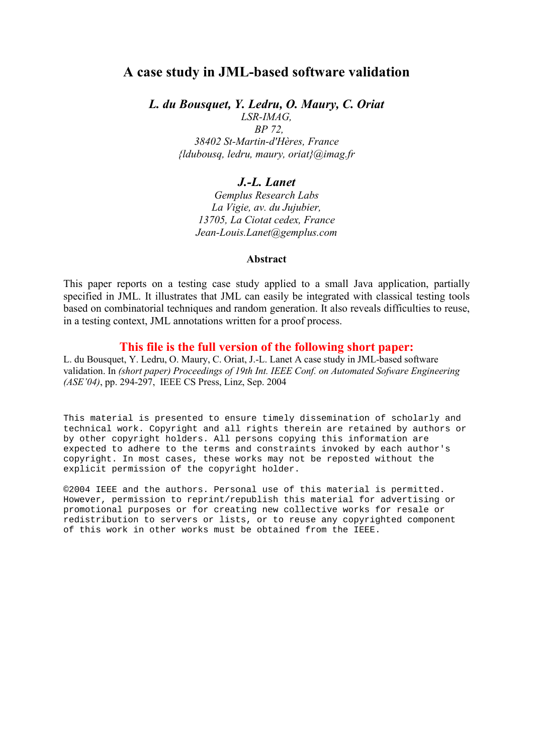# A case study in JML-based software validation

L. du Bousquet, Y. Ledru, O. Maury, C. Oriat

LSR-IMAG, BP 72, 38402 St-Martin-d'Hères, France {ldubousq, ledru, maury, oriat}@imag.fr

# J.-L. Lanet

Gemplus Research Labs La Vigie, av. du Jujubier, 13705, La Ciotat cedex, France Jean-Louis.Lanet@gemplus.com

## Abstract

This paper reports on a testing case study applied to a small Java application, partially specified in JML. It illustrates that JML can easily be integrated with classical testing tools based on combinatorial techniques and random generation. It also reveals difficulties to reuse, in a testing context, JML annotations written for a proof process.

## This file is the full version of the following short paper:

L. du Bousquet, Y. Ledru, O. Maury, C. Oriat, J.-L. Lanet A case study in JML-based software validation. In (short paper) Proceedings of 19th Int. IEEE Conf. on Automated Sofware Engineering (ASE'04), pp. 294-297, IEEE CS Press, Linz, Sep. 2004

This material is presented to ensure timely dissemination of scholarly and technical work. Copyright and all rights therein are retained by authors or by other copyright holders. All persons copying this information are expected to adhere to the terms and constraints invoked by each author's copyright. In most cases, these works may not be reposted without the explicit permission of the copyright holder.

©2004 IEEE and the authors. Personal use of this material is permitted. However, permission to reprint/republish this material for advertising or promotional purposes or for creating new collective works for resale or redistribution to servers or lists, or to reuse any copyrighted component of this work in other works must be obtained from the IEEE.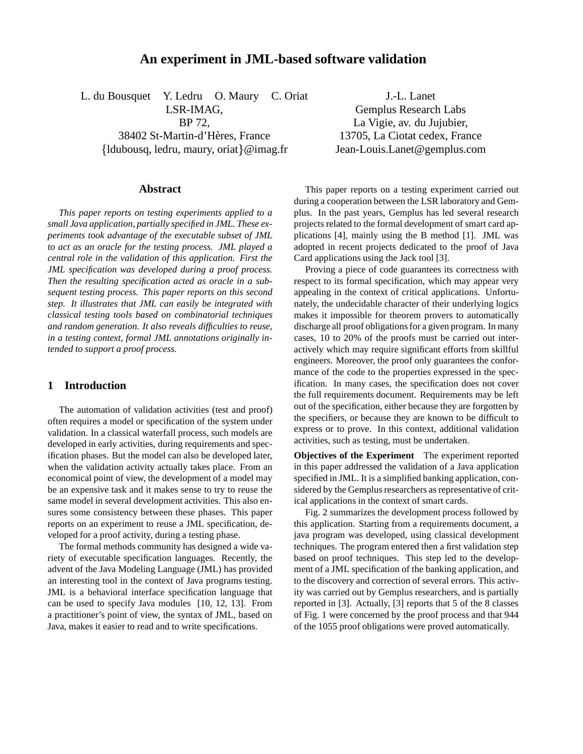## **An experiment in JML-based software validation**

L. du Bousquet Y. Ledru O. Maury C. Oriat LSR-IMAG, BP 72, 38402 St-Martin-d'Hères, France {ldubousq, ledru, maury, oriat}@imag.fr

**Abstract**

*This paper reports on testing experiments applied to a small Java application, partially specified in JML. These experiments took advantage of the executable subset of JML to act as an oracle for the testing process. JML played a central role in the validation of this application. First the JML specification was developed during a proof process. Then the resulting specification acted as oracle in a subsequent testing process. This paper reports on this second step. It illustrates that JML can easily be integrated with classical testing tools based on combinatorial techniques and random generation. It also reveals difficulties to reuse, in a testing context, formal JML annotations originally intended to support a proof process.*

## **1 Introduction**

The automation of validation activities (test and proof) often requires a model or specification of the system under validation. In a classical waterfall process, such models are developed in early activities, during requirements and specification phases. But the model can also be developed later, when the validation activity actually takes place. From an economical point of view, the development of a model may be an expensive task and it makes sense to try to reuse the same model in several development activities. This also ensures some consistency between these phases. This paper reports on an experiment to reuse a JML specification, developed for a proof activity, during a testing phase.

The formal methods community has designed a wide variety of executable specification languages. Recently, the advent of the Java Modeling Language (JML) has provided an interesting tool in the context of Java programs testing. JML is a behavioral interface specification language that can be used to specify Java modules [10, 12, 13]. From a practitioner's point of view, the syntax of JML, based on Java, makes it easier to read and to write specifications.

J.-L. Lanet Gemplus Research Labs La Vigie, av. du Jujubier, 13705, La Ciotat cedex, France Jean-Louis.Lanet@gemplus.com

This paper reports on a testing experiment carried out during a cooperation between the LSR laboratory and Gemplus. In the past years, Gemplus has led several research projects related to the formal development of smart card applications [4], mainly using the B method [1]. JML was adopted in recent projects dedicated to the proof of Java Card applications using the Jack tool [3].

Proving a piece of code guarantees its correctness with respect to its formal specification, which may appear very appealing in the context of critical applications. Unfortunately, the undecidable character of their underlying logics makes it impossible for theorem provers to automatically discharge all proof obligations for a given program. In many cases, 10 to 20% of the proofs must be carried out interactively which may require significant efforts from skillful engineers. Moreover, the proof only guarantees the conformance of the code to the properties expressed in the specification. In many cases, the specification does not cover the full requirements document. Requirements may be left out of the specification, either because they are forgotten by the specifiers, or because they are known to be difficult to express or to prove. In this context, additional validation activities, such as testing, must be undertaken.

**Objectives of the Experiment** The experiment reported in this paper addressed the validation of a Java application specified in JML. It is a simplified banking application, considered by the Gemplus researchers as representative of critical applications in the context of smart cards.

Fig. 2 summarizes the development process followed by this application. Starting from a requirements document, a java program was developed, using classical development techniques. The program entered then a first validation step based on proof techniques. This step led to the development of a JML specification of the banking application, and to the discovery and correction of several errors. This activity was carried out by Gemplus researchers, and is partially reported in [3]. Actually, [3] reports that 5 of the 8 classes of Fig. 1 were concerned by the proof process and that 944 of the 1055 proof obligations were proved automatically.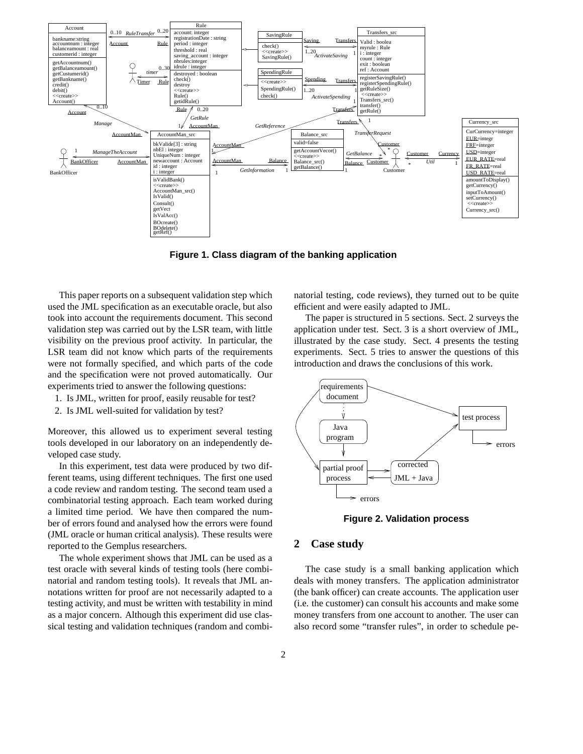

**Figure 1. Class diagram of the banking application**

This paper reports on a subsequent validation step which used the JML specification as an executable oracle, but also took into account the requirements document. This second validation step was carried out by the LSR team, with little visibility on the previous proof activity. In particular, the LSR team did not know which parts of the requirements were not formally specified, and which parts of the code and the specification were not proved automatically. Our experiments tried to answer the following questions:

- 1. Is JML, written for proof, easily reusable for test?
- 2. Is JML well-suited for validation by test?

Moreover, this allowed us to experiment several testing tools developed in our laboratory on an independently developed case study.

In this experiment, test data were produced by two different teams, using different techniques. The first one used a code review and random testing. The second team used a combinatorial testing approach. Each team worked during a limited time period. We have then compared the number of errors found and analysed how the errors were found (JML oracle or human critical analysis). These results were reported to the Gemplus researchers.

The whole experiment shows that JML can be used as a test oracle with several kinds of testing tools (here combinatorial and random testing tools). It reveals that JML annotations written for proof are not necessarily adapted to a testing activity, and must be written with testability in mind as a major concern. Although this experiment did use classical testing and validation techniques (random and combinatorial testing, code reviews), they turned out to be quite efficient and were easily adapted to JML.

The paper is structured in 5 sections. Sect. 2 surveys the application under test. Sect. 3 is a short overview of JML, illustrated by the case study. Sect. 4 presents the testing experiments. Sect. 5 tries to answer the questions of this introduction and draws the conclusions of this work.



**Figure 2. Validation process**

### **2 Case study**

The case study is a small banking application which deals with money transfers. The application administrator (the bank officer) can create accounts. The application user (i.e. the customer) can consult his accounts and make some money transfers from one account to another. The user can also record some "transfer rules", in order to schedule pe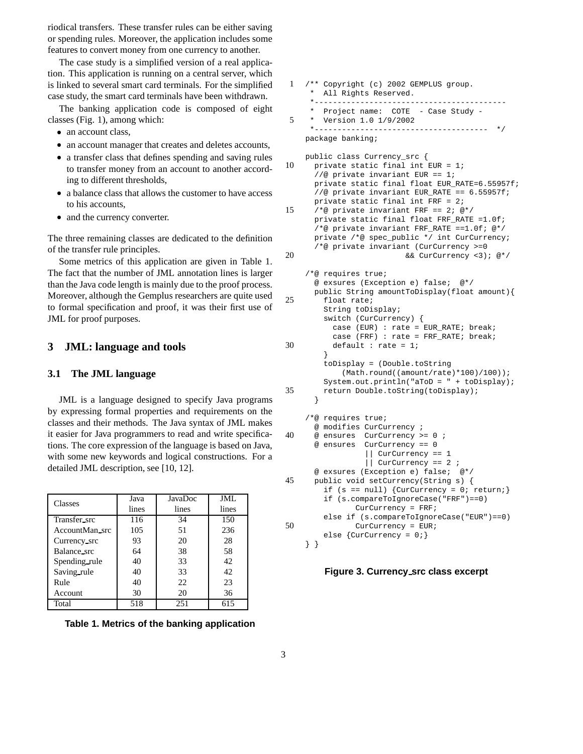riodical transfers. These transfer rules can be either saving or spending rules. Moreover, the application includes some features to convert money from one currency to another.

The case study is a simplified version of a real application. This application is running on a central server, which is linked to several smart card terminals. For the simplified case study, the smart card terminals have been withdrawn.

The banking application code is composed of eight classes (Fig. 1), among which:

- an account class,
- an account manager that creates and deletes accounts,
- a transfer class that defines spending and saving rules to transfer money from an account to another according to different thresholds,
- a balance class that allows the customer to have access to his accounts,
- and the currency converter.

The three remaining classes are dedicated to the definition of the transfer rule principles.

Some metrics of this application are given in Table 1. The fact that the number of JML annotation lines is larger than the Java code length is mainly due to the proof process. Moreover, although the Gemplus researchers are quite used to formal specification and proof, it was their first use of JML for proof purposes.

## **3 JML: language and tools**

#### **3.1 The JML language**

JML is a language designed to specify Java programs by expressing formal properties and requirements on the classes and their methods. The Java syntax of JML makes it easier for Java programmers to read and write specifications. The core expression of the language is based on Java, with some new keywords and logical constructions. For a detailed JML description, see [10, 12].

| Classes        | Java  | JavaDoc | JML   |
|----------------|-------|---------|-------|
|                | lines | lines   | lines |
| Transfer_src   | 116   | 34      | 150   |
| AccountMan_src | 105   | 51      | 236   |
| Currency src   | 93    | 20      | 28    |
| Balance_src    | 64    | 38      | 58    |
| Spending rule  | 40    | 33      | 42    |
| Saving rule    | 40    | 33      | 42    |
| Rule           | 40    | 22.     | 23    |
| <b>Account</b> | 30    | 20      | 36    |
| Total          | 518   | 251     | 615   |

**Table 1. Metrics of the banking application**

| 1              | /** Copyright (c) 2002 GEMPLUS group.<br>All Rights Reserved.<br>*------------------------                                                                                                                                                                                                                                                                                                                                                                        |
|----------------|-------------------------------------------------------------------------------------------------------------------------------------------------------------------------------------------------------------------------------------------------------------------------------------------------------------------------------------------------------------------------------------------------------------------------------------------------------------------|
| 5              | Project name: COTE - Case Study -<br>Version 1.0 1/9/2002<br>* - - - - - - - - - - - -<br>-------------<br>$\star$ /                                                                                                                                                                                                                                                                                                                                              |
|                | package banking;                                                                                                                                                                                                                                                                                                                                                                                                                                                  |
| 10             | public class Currency_src {<br>private static final int EUR = 1;<br>//@ private invariant EUR == 1;<br>private static final float EUR_RATE=6.55957f;                                                                                                                                                                                                                                                                                                              |
| 15             | //@ private invariant EUR_RATE == 6.55957f;<br>private static final int FRF = $2$ ;<br>/*@ private invariant FRF == 2; @*/<br>private static final float FRF_RATE =1.0f;<br>/*@ private invariant FRF_RATE ==1.0f; @*/<br>private /*@ spec_public */ int CurCurrency;                                                                                                                                                                                             |
| 20             | /*@ private invariant (CurCurrency >=0<br>&& CurCurrency <3); @*/                                                                                                                                                                                                                                                                                                                                                                                                 |
| 25<br>30<br>35 | /*@ requires true;<br>@ exsures (Exception e) false; @*/<br>public String amountToDisplay(float amount){<br>float rate;<br>String toDisplay;<br>switch (CurCurrency) {<br>case (EUR) : rate = EUR_RATE; break;<br>case (FRF) : rate = FRF_RATE; break;<br>default : rate = $1$ ;<br>ł<br>toDisplay = (Double.toString<br>(Math.round((amount/rate)*100)/100));<br>System.out.println("aToD = $" + \text{toDisplay}$ );<br>return Double.toString(toDisplay);<br>ł |
| 40             | /*@ requires true;<br>@ modifies CurCurrency ;<br>@ ensures CurCurrency >= 0 ;<br>@ ensures CurCurrency == 0<br>$\vert$ CurCurrency == 1                                                                                                                                                                                                                                                                                                                          |
| 45             | $\vert$ CurCurrency == 2 ;<br>@ exsures (Exception e) false; @*/<br>public void setCurrency(String s) {<br>if $(s == null)$ {CurCurrency = 0; return;}<br>if (s.compareToIgnoreCase("FRF") == 0)<br>$CurCurency = FRF;$                                                                                                                                                                                                                                           |
| 50             | else if (s.compareToIgnoreCase("EUR") == 0)<br>$CurCurency = EUR;$<br>else $\{Curcurrency = 0;\}$<br>ł<br>Ł                                                                                                                                                                                                                                                                                                                                                       |

## **Figure 3. Currency src class excerpt**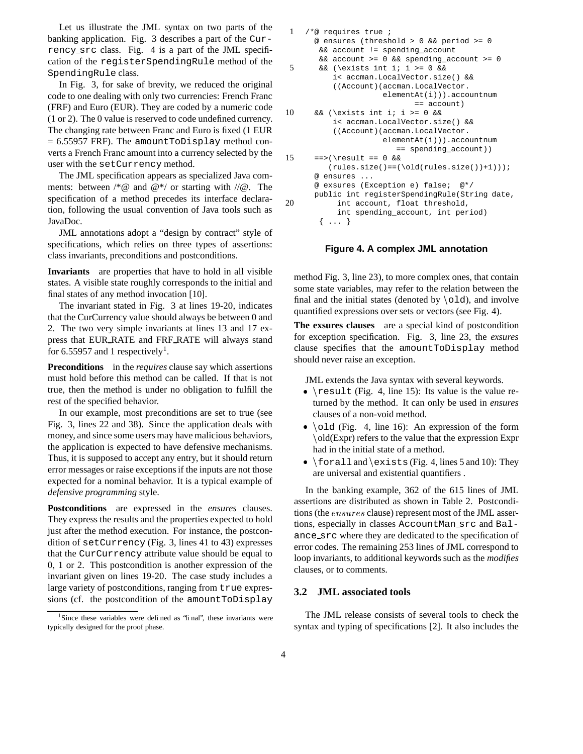Let us illustrate the JML syntax on two parts of the banking application. Fig. 3 describes a part of the Currency src class. Fig. 4 is a part of the JML specification of the registerSpendingRule method of the SpendingRule class.

In Fig. 3, for sake of brevity, we reduced the original code to one dealing with only two currencies: French Franc (FRF) and Euro (EUR). They are coded by a numeric code (1 or 2). The 0 value is reserved to code undefined currency. The changing rate between Franc and Euro is fixed (1 EUR  $= 6.55957$  FRF). The amountToDisplay method converts a French Franc amount into a currency selected by the user with the setCurrency method.

The JML specification appears as specialized Java comments: between  $/*@$  and  $@*/$  or starting with  $//@$ . The specification of a method precedes its interface declaration, following the usual convention of Java tools such as JavaDoc.

JML annotations adopt a "design by contract" style of specifications, which relies on three types of assertions: class invariants, preconditions and postconditions.

**Invariants** are properties that have to hold in all visible states. A visible state roughly corresponds to the initial and final states of any method invocation [10].

The invariant stated in Fig. 3 at lines 19-20, indicates that the CurCurrency value should always be between 0 and 2. The two very simple invariants at lines 13 and 17 express that EUR RATE and FRF RATE will always stand for 6.55957 and 1 respectively<sup>1</sup>.

**Preconditions** in the *requires* clause say which assertions must hold before this method can be called. If that is not true, then the method is under no obligation to fulfill the rest of the specified behavior.

In our example, most preconditions are set to true (see Fig. 3, lines 22 and 38). Since the application deals with money, and since some users may have malicious behaviors, the application is expected to have defensive mechanisms. Thus, it is supposed to accept any entry, but it should return error messages or raise exceptionsif the inputs are not those expected for a nominal behavior. It is a typical example of *defensive programming* style.

**Postconditions** are expressed in the *ensures* clauses. They express the results and the properties expected to hold just after the method execution. For instance, the postcondition of setCurrency (Fig. 3, lines 41 to 43) expresses that the CurCurrency attribute value should be equal to 0, 1 or 2. This postcondition is another expression of the invariant given on lines 19-20. The case study includes a large variety of postconditions, ranging from true expressions (cf. the postcondition of the amountToDisplay

```
1 /*@ requires true ;
      @ ensures (threshold > 0 && period >= 0
       && account != spending_account
       && account >= 0 && spending_account >= 0
5 && (\exists int i; i >= 0 &&
          i< accman.LocalVector.size() &&
          ((Account)(accman.LocalVector.
                     elementAt(i))).accountnum
                           == account)
10 && (\exists int i; i >= 0 &&
          i< accman.LocalVector.size() &&
          ((Account)(accman.LocalVector.
                     elementAt(i))).accountnum
                       == spending_account))
15 ==>(\result == 0 \&(rules.size() == (\old(rules.size()) + 1)));
      @ ensures ...
      @ exsures (Exception e) false; @*/
     public int registerSpendingRule(String date,
20 int account, float threshold,
          int spending_account, int period)
       { ... }
```
#### **Figure 4. A complex JML annotation**

method Fig. 3, line 23), to more complex ones, that contain some state variables, may refer to the relation between the final and the initial states (denoted by  $\cdot$ old), and involve quantified expressions over sets or vectors (see Fig. 4).

**The exsures clauses** are a special kind of postcondition for exception specification. Fig. 3, line 23, the *exsures* clause specifies that the amountToDisplay method should never raise an exception.

JML extends the Java syntax with several keywords.

- \result (Fig. 4, line 15): Its value is the value returned by the method. It can only be used in *ensures* clauses of a non-void method.
- $\bullet$  \old (Fig. 4, line 16): An expression of the form old(Expr) refers to the value that the expression Expr had in the initial state of a method.
- $\bullet$  \forall and \exists (Fig. 4, lines 5 and 10): They are universal and existential quantifiers .

In the banking example, 362 of the 615 lines of JML assertions are distributed as shown in Table 2. Postconditions (the ensures clause) represent most of the JML assertions, especially in classes AccountMan src and Balance src where they are dedicated to the specification of error codes. The remaining 253 lines of JML correspond to loop invariants, to additional keywords such as the *modifies* clauses, or to comments.

#### **3.2 JML associated tools**

The JML release consists of several tools to check the syntax and typing of specifications [2]. It also includes the

<sup>&</sup>lt;sup>1</sup>Since these variables were defined as 'final'', these invariants were typically designed for the proof phase.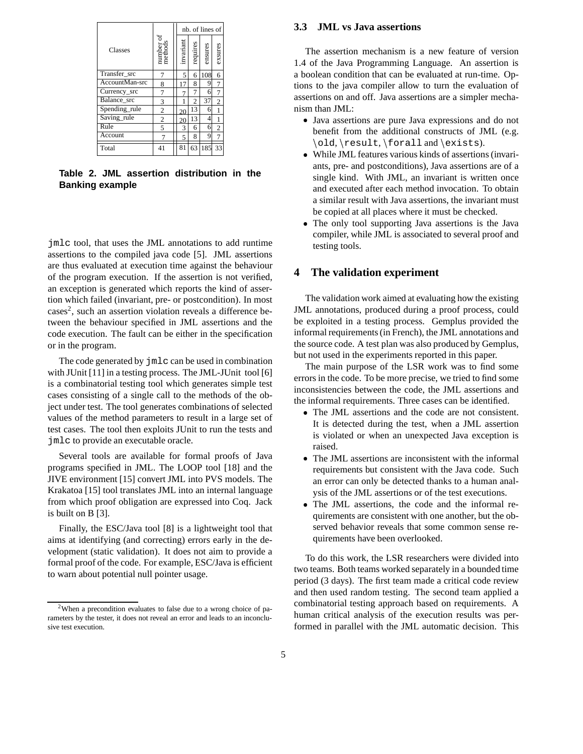|                |                                                                  |           | nb. of lines of |         |                |  |
|----------------|------------------------------------------------------------------|-----------|-----------------|---------|----------------|--|
| Classes        | $\begin{array}{c} \text{number of}\\ \text{methods} \end{array}$ | invariant | requires        | ensures | exsures        |  |
| Transfer_src   |                                                                  | 5         | 6               | 108     | 6              |  |
| AccountMan-src | 8                                                                | 17        | 8               | 9       | 7              |  |
| Currency_src   | 7                                                                |           | 7               | 6       | 7              |  |
| Balance src    | 3                                                                | 1         | $\overline{c}$  | 37      | $\overline{2}$ |  |
| Spending_rule  | $\overline{2}$                                                   | 20        | 13              | 6       |                |  |
| Saving_rule    | $\overline{2}$                                                   | 20        | 13              | 4       |                |  |
| Rule           | 5                                                                | 3         | 6               | 6       | $\overline{c}$ |  |
| Account        |                                                                  | 5         | 8               | 9       | $\overline{7}$ |  |
| Total          | 41                                                               | 81        | 63              | 185     | 33             |  |

**Table 2. JML assertion distribution in the Banking example**

jmlc tool, that uses the JML annotations to add runtime assertions to the compiled java code [5]. JML assertions are thus evaluated at execution time against the behaviour of the program execution. If the assertion is not verified, an exception is generated which reports the kind of assertion which failed (invariant, pre- or postcondition). In most cases<sup>2</sup>, such an assertion violation reveals a difference between the behaviour specified in JML assertions and the code execution. The fault can be either in the specification or in the program.

The code generated by jmlc can be used in combination with JUnit [11] in a testing process. The JML-JUnit tool [6] is a combinatorial testing tool which generates simple test cases consisting of a single call to the methods of the object under test. The tool generates combinations of selected values of the method parameters to result in a large set of test cases. The tool then exploits JUnit to run the tests and jmlc to provide an executable oracle.

Several tools are available for formal proofs of Java programs specified in JML. The LOOP tool [18] and the JIVE environment [15] convert JML into PVS models. The Krakatoa [15] tool translates JML into an internal language from which proof obligation are expressed into Coq. Jack is built on B [3].

Finally, the ESC/Java tool [8] is a lightweight tool that aims at identifying (and correcting) errors early in the development (static validation). It does not aim to provide a formal proof of the code. For example, ESC/Java is efficient to warn about potential null pointer usage.

#### **3.3 JML vs Java assertions**

The assertion mechanism is a new feature of version 1.4 of the Java Programming Language. An assertion is a boolean condition that can be evaluated at run-time. Options to the java compiler allow to turn the evaluation of assertions on and off. Java assertions are a simpler mechanism than JML:

- Java assertions are pure Java expressions and do not benefit from the additional constructs of JML (e.g. \old,\result,\foralland\exists).
- While JML features various kinds of assertions (invariants, pre- and postconditions), Java assertions are of a single kind. With JML, an invariant is written once and executed after each method invocation. To obtain a similar result with Java assertions, the invariant must be copied at all places where it must be checked.
- The only tool supporting Java assertions is the Java compiler, while JML is associated to several proof and testing tools.

## **4 The validation experiment**

The validation work aimed at evaluating how the existing JML annotations, produced during a proof process, could be exploited in a testing process. Gemplus provided the informal requirements (in French), the JML annotations and the source code. A test plan was also produced by Gemplus, but not used in the experiments reported in this paper.

The main purpose of the LSR work was to find some errors in the code. To be more precise, we tried to find some inconsistencies between the code, the JML assertions and the informal requirements. Three cases can be identified.

- The JML assertions and the code are not consistent. It is detected during the test, when a JML assertion is violated or when an unexpected Java exception is raised.
- The JML assertions are inconsistent with the informal requirements but consistent with the Java code. Such an error can only be detected thanks to a human analysis of the JML assertions or of the test executions.
- The JML assertions, the code and the informal requirements are consistent with one another, but the observed behavior reveals that some common sense requirements have been overlooked.

To do this work, the LSR researchers were divided into two teams. Both teams worked separately in a bounded time period (3 days). The first team made a critical code review and then used random testing. The second team applied a combinatorial testing approach based on requirements. A human critical analysis of the execution results was performed in parallel with the JML automatic decision. This

<sup>2</sup>When a precondition evaluates to false due to a wrong choice of parameters by the tester, it does not reveal an error and leads to an inconclusive test execution.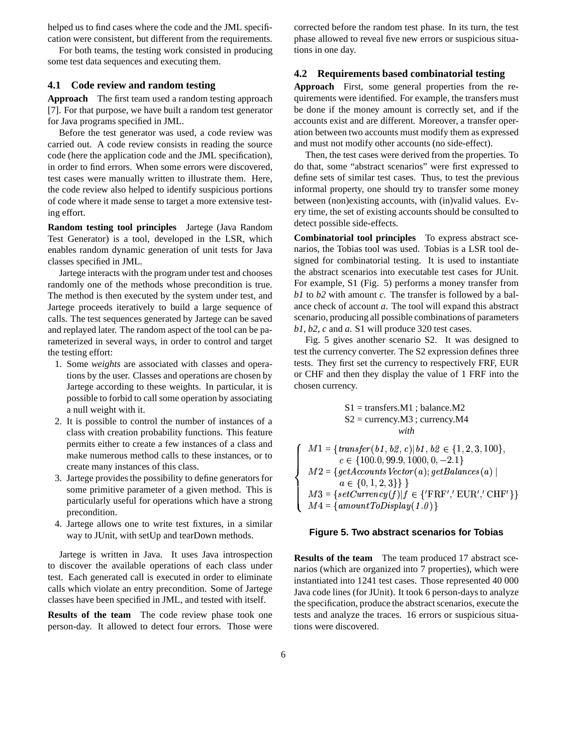helped us to find cases where the code and the JML specification were consistent, but different from the requirements.

For both teams, the testing work consisted in producing some test data sequences and executing them.

#### **4.1 Code review and random testing**

**Approach** The first team used a random testing approach [7]. For that purpose, we have built a random test generator for Java programs specified in JML.

Before the test generator was used, a code review was carried out. A code review consists in reading the source code (here the application code and the JML specification), in order to find errors. When some errors were discovered, test cases were manually written to illustrate them. Here, the code review also helped to identify suspicious portions of code where it made sense to target a more extensive testing effort.

**Random testing tool principles** Jartege (Java Random Test Generator) is a tool, developed in the LSR, which enables random dynamic generation of unit tests for Java classes specified in JML.

Jartege interacts with the program under test and chooses randomly one of the methods whose precondition is true. The method is then executed by the system under test, and Jartege proceeds iteratively to build a large sequence of calls. The test sequences generated by Jartege can be saved and replayed later. The random aspect of the tool can be parameterized in several ways, in order to control and target the testing effort:

- 1. Some *weights* are associated with classes and operations by the user. Classes and operations are chosen by Jartege according to these weights. In particular, it is possible to forbid to call some operation by associating a null weight with it.
- 2. It is possible to control the number of instances of a class with creation probability functions. This feature permits either to create a few instances of a class and make numerous method calls to these instances, or to create many instances of this class.
- 3. Jartege provides the possibility to define generators for some primitive parameter of a given method. This is particularly useful for operations which have a strong precondition.
- 4. Jartege allows one to write test fixtures, in a similar way to JUnit, with setUp and tearDown methods.

Jartege is written in Java. It uses Java introspection to discover the available operations of each class under test. Each generated call is executed in order to eliminate calls which violate an entry precondition. Some of Jartege classes have been specified in JML, and tested with itself.

**Results of the team** The code review phase took one person-day. It allowed to detect four errors. Those were

corrected before the random test phase. In its turn, the test phase allowed to reveal five new errors or suspicious situations in one day.

#### **4.2 Requirements based combinatorial testing**

**Approach** First, some general properties from the requirements were identified. For example, the transfers must be done if the money amount is correctly set, and if the accounts exist and are different. Moreover, a transfer operation between two accounts must modify them as expressed and must not modify other accounts (no side-effect).

Then, the test cases were derived from the properties. To do that, some "abstract scenarios" were first expressed to define sets of similar test cases. Thus, to test the previous informal property, one should try to transfer some money between (non)existing accounts, with (in)valid values. Every time, the set of existing accounts should be consulted to detect possible side-effects.

**Combinatorial tool principles** To express abstract scenarios, the Tobias tool was used. Tobias is a LSR tool designed for combinatorial testing. It is used to instantiate the abstract scenarios into executable test cases for JUnit. For example, S1 (Fig. 5) performs a money transfer from *b1* to *b2* with amount *c*. The transfer is followed by a balance check of account *a*. The tool will expand this abstract scenario, producing all possible combinations of parameters *b1*, *b2*, *c* and *a*. S1 will produce 320 test cases.

Fig. 5 gives another scenario S2. It was designed to test the currency converter. The S2 expression defines three tests. They first set the currency to respectively FRF, EUR or CHF and then they display the value of 1 FRF into the chosen currency.

$$
S1 = \text{transfers.M1}
$$
; balance.M2  
 $S2 = \text{currency.M3}$ ; currency.M4  
with

 $\int M1 = \{transfer(b1, b2, c) | b1, b2 \in \{1, 2, 3, 100\},\}$  $\blacksquare$  . The set of the set of the set of the set of the set of the set of the set of the set of the set of the set of the set of the set of the set of the set of the set of the set of the set of the set of the set of the  $\blacksquare$  . The set of the set of the set of the set of the set of the set of the set of the set of the set of the set of the set of the set of the set of the set of the set of the set of the set of the set of the set of the  $M2 = \{\,get{\textit{AccoundsVector}}{\left(a\right)}; get{\textit{Balances}}{\left(a\right)}\,|\, \}$   $\begin{bmatrix} M3 = \{ setCurreacy(f) | f \in \{\text{'FRF}', \text{EUR}', \text{CHF}'\} \end{bmatrix}$  $c \in \{100.0, 99.9, 1000, 0, -2.1\}$  $a \in \{0, 1, 2, 3\}$  $M4 = \{ amountToDisplay(1.0)\}$ 

#### **Figure 5. Two abstract scenarios for Tobias**

**Results of the team** The team produced 17 abstract scenarios (which are organized into 7 properties), which were instantiated into 1241 test cases. Those represented 40 000 Java code lines (for JUnit). It took 6 person-days to analyze the specification, produce the abstract scenarios, execute the tests and analyze the traces. 16 errors or suspicious situations were discovered.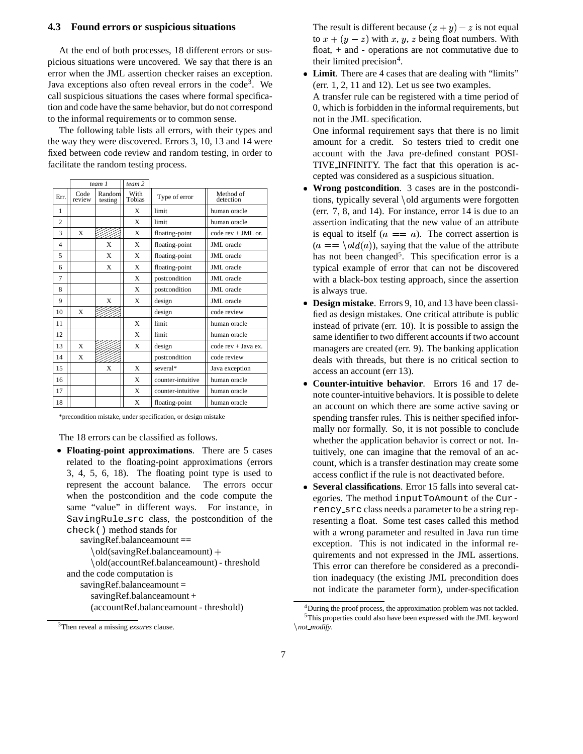#### **4.3 Found errors or suspicious situations**

At the end of both processes, 18 different errors or suspicious situations were uncovered. We say that there is an error when the JML assertion checker raises an exception. Java exceptions also often reveal errors in the code<sup>3</sup>. We call suspicious situations the cases where formal specification and code have the same behavior, but do not correspond to the informal requirements or to common sense.

The following table lists all errors, with their types and the way they were discovered. Errors 3, 10, 13 and 14 were fixed between code review and random testing, in order to facilitate the random testing process.

|                |                | team 1            | team 2         |                   |                        |
|----------------|----------------|-------------------|----------------|-------------------|------------------------|
| Err.           | Code<br>review | Random<br>testing | With<br>Tobias | Type of error     | Method of<br>detection |
| 1              |                |                   | X              | limit             | human oracle           |
| $\overline{c}$ |                |                   | X              | limit             | human oracle           |
| 3              | X              |                   | X              | floating-point    | code rev + JML or.     |
| 4              |                | X                 | X              | floating-point    | <b>JML</b> oracle      |
| 5              |                | X                 | X              | floating-point    | <b>JML</b> oracle      |
| 6              |                | X                 | X              | floating-point    | <b>JML</b> oracle      |
| 7              |                |                   | X              | postcondition     | JML oracle             |
| 8              |                |                   | X              | postcondition     | <b>JML</b> oracle      |
| 9              |                | X                 | X              | design            | <b>JML</b> oracle      |
| 10             | X              |                   |                | design            | code review            |
| 11             |                |                   | X              | limit             | human oracle           |
| 12             |                |                   | X              | limit             | human oracle           |
| 13             | X              |                   | X              | design            | $code rev + Java ex.$  |
| 14             | X              |                   |                | postcondition     | code review            |
| 15             |                | X                 | X              | several*          | Java exception         |
| 16             |                |                   | X              | counter-intuitive | human oracle           |
| 17             |                |                   | X              | counter-intuitive | human oracle           |
| 18             |                |                   | X              | floating-point    | human oracle           |

\*precondition mistake, under specification, or design mistake

The 18 errors can be classified as follows.

 **Floating-point approximations**. There are 5 cases related to the floating-point approximations (errors 3, 4, 5, 6, 18). The floating point type is used to represent the account balance. The errors occur when the postcondition and the code compute the same "value" in different ways. For instance, in SavingRule src class, the postcondition of the check() method stands for

savingRef.balanceamount ==

old(savingRef.balanceamount) 

 old(accountRef.balanceamount) - threshold and the code computation is savingRef.balanceamount = savingRef.balanceamount + (accountRef.balanceamount - threshold)

<sup>3</sup>Then reveal a missing *exsures* clause.

The result is different because  $(x + y) - z$  is not equal to  $x + (y - z)$  with  $x, y, z$  being float numbers. With float, + and - operations are not commutative due to their limited precision<sup>4</sup>.

 **Limit**. There are 4 cases that are dealing with "limits" (err. 1, 2, 11 and 12). Let us see two examples. A transfer rule can be registered with a time period of 0, which is forbidden in the informal requirements, but not in the JML specification.

One informal requirement says that there is no limit amount for a credit. So testers tried to credit one account with the Java pre-defined constant POSI-TIVE INFINITY. The fact that this operation is accepted was considered as a suspicious situation.

- **Wrong postcondition**. 3 cases are in the postconditions, typically several \old arguments were forgotten (err. 7, 8, and 14). For instance, error 14 is due to an assertion indicating that the new value of an attribute is equal to itself  $(a == a)$ . The correct assertion is  $(a == \text{old}(a))$ , saying that the value of the attribute has not been changed<sup>5</sup>. This specification error is a typical example of error that can not be discovered with a black-box testing approach, since the assertion is always true.
- **Design mistake**. Errors 9, 10, and 13 have been classified as design mistakes. One critical attribute is public instead of private (err. 10). It is possible to assign the same identifier to two different accounts if two account managers are created (err. 9). The banking application deals with threads, but there is no critical section to access an account (err 13).
- **Counter-intuitive behavior**. Errors 16 and 17 denote counter-intuitive behaviors. It is possible to delete an account on which there are some active saving or spending transfer rules. This is neither specified informally nor formally. So, it is not possible to conclude whether the application behavior is correct or not. Intuitively, one can imagine that the removal of an account, which is a transfer destination may create some access conflict if the rule is not deactivated before.
- **Several classifications**. Error 15 falls into several categories. The method inputToAmount of the Currency src class needs a parameter to be a string representing a float. Some test cases called this method with a wrong parameter and resulted in Java run time exception. This is not indicated in the informal requirements and not expressed in the JML assertions. This error can therefore be considered as a precondition inadequacy (the existing JML precondition does not indicate the parameter form), under-specification

<sup>&</sup>lt;sup>4</sup>During the proof process, the approximation problem was not tackled. <sup>5</sup>This properties could also have been expressed with the JML keyword *not modify*.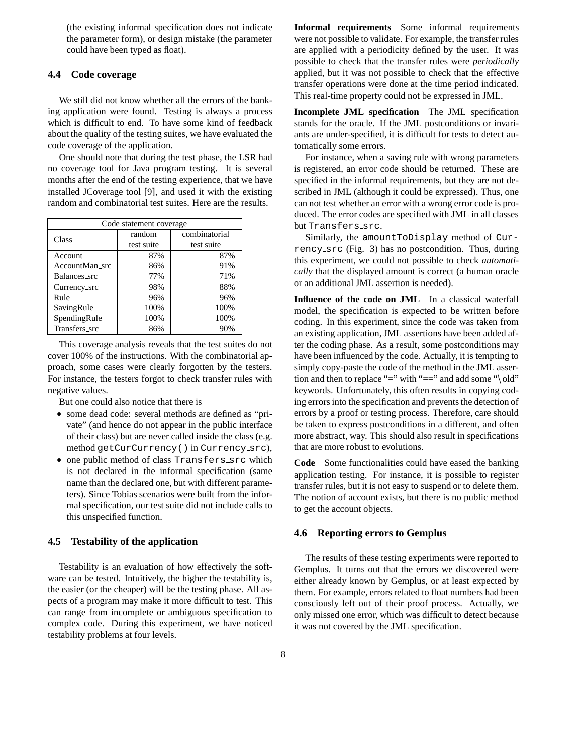(the existing informal specification does not indicate the parameter form), or design mistake (the parameter could have been typed as float).

#### **4.4 Code coverage**

We still did not know whether all the errors of the banking application were found. Testing is always a process which is difficult to end. To have some kind of feedback about the quality of the testing suites, we have evaluated the code coverage of the application.

One should note that during the test phase, the LSR had no coverage tool for Java program testing. It is several months after the end of the testing experience, that we have installed JCoverage tool [9], and used it with the existing random and combinatorial test suites. Here are the results.

| Code statement coverage |            |               |  |  |
|-------------------------|------------|---------------|--|--|
| Class                   | random     | combinatorial |  |  |
|                         | test suite | test suite    |  |  |
| <b>Account</b>          | 87%        | 87%           |  |  |
| AccountMan_src          | 86%        | 91%           |  |  |
| Balances_src            | 77%        | 71%           |  |  |
| Currency_src            | 98%        | 88%           |  |  |
| Rule                    | 96%        | 96%           |  |  |
| SavingRule              | 100%       | 100%          |  |  |
| SpendingRule            | 100%       | 100%          |  |  |
| Transfers_src           | 86%        | 90%           |  |  |

This coverage analysis reveals that the test suites do not cover 100% of the instructions. With the combinatorial approach, some cases were clearly forgotten by the testers. For instance, the testers forgot to check transfer rules with negative values.

But one could also notice that there is

- some dead code: several methods are defined as "private" (and hence do not appear in the public interface of their class) but are never called inside the class (e.g. method getCurCurrency() in Currency src),
- one public method of class Transfers src which is not declared in the informal specification (same name than the declared one, but with different parameters). Since Tobias scenarios were built from the informal specification, our test suite did not include calls to this unspecified function.

#### **4.5 Testability of the application**

Testability is an evaluation of how effectively the software can be tested. Intuitively, the higher the testability is, the easier (or the cheaper) will be the testing phase. All aspects of a program may make it more difficult to test. This can range from incomplete or ambiguous specification to complex code. During this experiment, we have noticed testability problems at four levels.

**Informal requirements** Some informal requirements were not possible to validate. For example, the transfer rules are applied with a periodicity defined by the user. It was possible to check that the transfer rules were *periodically* applied, but it was not possible to check that the effective transfer operations were done at the time period indicated. This real-time property could not be expressed in JML.

**Incomplete JML specification** The JML specification stands for the oracle. If the JML postconditions or invariants are under-specified, it is difficult for tests to detect automatically some errors.

For instance, when a saving rule with wrong parameters is registered, an error code should be returned. These are specified in the informal requirements, but they are not described in JML (although it could be expressed). Thus, one can not test whether an error with a wrong error code is produced. The error codes are specified with JML in all classes but Transfers src.

Similarly, the amountToDisplay method of Currency src (Fig. 3) has no postcondition. Thus, during this experiment, we could not possible to check *automatically* that the displayed amount is correct (a human oracle or an additional JML assertion is needed).

**Influence of the code on JML** In a classical waterfall model, the specification is expected to be written before coding. In this experiment, since the code was taken from an existing application, JML assertions have been added after the coding phase. As a result, some postconditions may have been influenced by the code. Actually, it is tempting to simply copy-paste the code of the method in the JML assertion and then to replace "=" with "==" and add some "\old" keywords. Unfortunately, this often results in copying coding errors into the specification and prevents the detection of errors by a proof or testing process. Therefore, care should be taken to express postconditions in a different, and often more abstract, way. This should also result in specifications that are more robust to evolutions.

**Code** Some functionalities could have eased the banking application testing. For instance, it is possible to register transfer rules, but it is not easy to suspend or to delete them. The notion of account exists, but there is no public method to get the account objects.

### **4.6 Reporting errors to Gemplus**

The results of these testing experiments were reported to Gemplus. It turns out that the errors we discovered were either already known by Gemplus, or at least expected by them. For example, errors related to float numbers had been consciously left out of their proof process. Actually, we only missed one error, which was difficult to detect because it was not covered by the JML specification.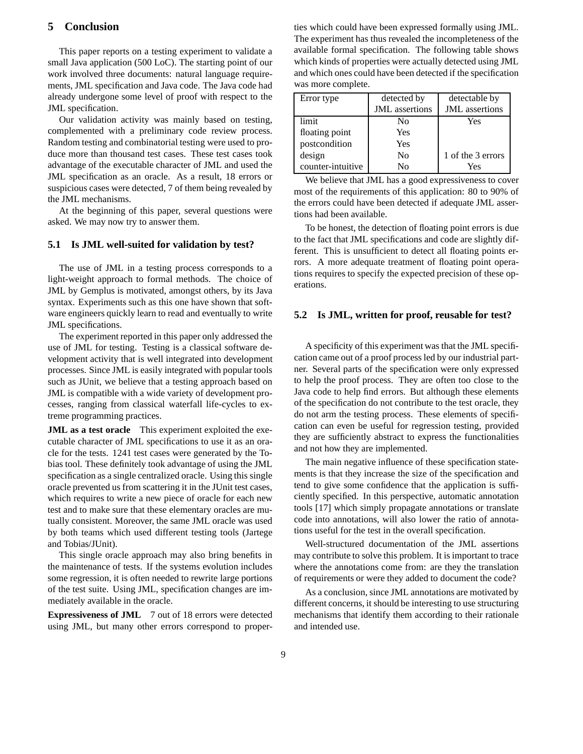## **5 Conclusion**

This paper reports on a testing experiment to validate a small Java application (500 LoC). The starting point of our work involved three documents: natural language requirements, JML specification and Java code. The Java code had already undergone some level of proof with respect to the JML specification.

Our validation activity was mainly based on testing, complemented with a preliminary code review process. Random testing and combinatorial testing were used to produce more than thousand test cases. These test cases took advantage of the executable character of JML and used the JML specification as an oracle. As a result, 18 errors or suspicious cases were detected, 7 of them being revealed by the JML mechanisms.

At the beginning of this paper, several questions were asked. We may now try to answer them.

#### **5.1 Is JML well-suited for validation by test?**

The use of JML in a testing process corresponds to a light-weight approach to formal methods. The choice of JML by Gemplus is motivated, amongst others, by its Java syntax. Experiments such as this one have shown that software engineers quickly learn to read and eventually to write JML specifications.

The experiment reported in this paper only addressed the use of JML for testing. Testing is a classical software development activity that is well integrated into development processes. Since JML is easily integrated with popular tools such as JUnit, we believe that a testing approach based on JML is compatible with a wide variety of development processes, ranging from classical waterfall life-cycles to extreme programming practices.

**JML as a test oracle** This experiment exploited the executable character of JML specifications to use it as an oracle for the tests. 1241 test cases were generated by the Tobias tool. These definitely took advantage of using the JML specification as a single centralized oracle. Using this single oracle prevented us from scattering it in the JUnit test cases, which requires to write a new piece of oracle for each new test and to make sure that these elementary oracles are mutually consistent. Moreover, the same JML oracle was used by both teams which used different testing tools (Jartege and Tobias/JUnit).

This single oracle approach may also bring benefits in the maintenance of tests. If the systems evolution includes some regression, it is often needed to rewrite large portions of the test suite. Using JML, specification changes are immediately available in the oracle.

**Expressiveness of JML** 7 out of 18 errors were detected using JML, but many other errors correspond to properties which could have been expressed formally using JML. The experiment has thus revealed the incompleteness of the available formal specification. The following table shows which kinds of properties were actually detected using JML and which ones could have been detected if the specification was more complete.

| Error type        | detected by           | detectable by         |
|-------------------|-----------------------|-----------------------|
|                   | <b>JML</b> assertions | <b>JML</b> assertions |
| limit             | Nο                    | Yes                   |
| floating point    | Yes                   |                       |
| postcondition     | Yes                   |                       |
| design            | N <sub>0</sub>        | 1 of the 3 errors     |
| counter-intuitive | N٥                    | Yes                   |

We believe that JML has a good expressiveness to cover most of the requirements of this application: 80 to 90% of the errors could have been detected if adequate JML assertions had been available.

To be honest, the detection of floating point errors is due to the fact that JML specifications and code are slightly different. This is unsufficient to detect all floating points errors. A more adequate treatment of floating point operations requires to specify the expected precision of these operations.

#### **5.2 Is JML, written for proof, reusable for test?**

A specificity of this experiment was that the JML specification came out of a proof process led by our industrial partner. Several parts of the specification were only expressed to help the proof process. They are often too close to the Java code to help find errors. But although these elements of the specification do not contribute to the test oracle, they do not arm the testing process. These elements of specification can even be useful for regression testing, provided they are sufficiently abstract to express the functionalities and not how they are implemented.

The main negative influence of these specification statements is that they increase the size of the specification and tend to give some confidence that the application is sufficiently specified. In this perspective, automatic annotation tools [17] which simply propagate annotations or translate code into annotations, will also lower the ratio of annotations useful for the test in the overall specification.

Well-structured documentation of the JML assertions may contribute to solve this problem. It is important to trace where the annotations come from: are they the translation of requirements or were they added to document the code?

As a conclusion, since JML annotations are motivated by different concerns, it should be interesting to use structuring mechanisms that identify them according to their rationale and intended use.